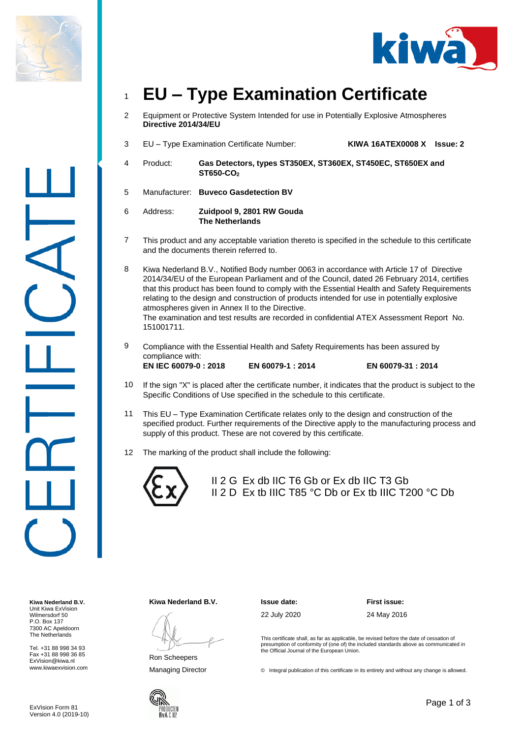



# <sup>1</sup> **EU – Type Examination Certificate**

- 2 Equipment or Protective System Intended for use in Potentially Explosive Atmospheres **Directive 2014/34/EU**
- 3 EU Type Examination Certificate Number: **KIWA 16ATEX0008 X Issue: 2**
- 4 Product: **Gas Detectors, types ST350EX, ST360EX, ST450EC, ST650EX and ST650-CO<sup>2</sup>**
- 5 Manufacturer: **Buveco Gasdetection BV**

6 Address: **Zuidpool 9, 2801 RW Gouda The Netherlands**

7 This product and any acceptable variation thereto is specified in the schedule to this certificate and the documents therein referred to.

8 Kiwa Nederland B.V., Notified Body number 0063 in accordance with Article 17 of Directive 2014/34/EU of the European Parliament and of the Council, dated 26 February 2014, certifies that this product has been found to comply with the Essential Health and Safety Requirements relating to the design and construction of products intended for use in potentially explosive atmospheres given in Annex II to the Directive. The examination and test results are recorded in confidential ATEX Assessment Report No. 151001711.

- 9 Compliance with the Essential Health and Safety Requirements has been assured by compliance with: **EN IEC 60079-0 : 2018 EN 60079-1 : 2014 EN 60079-31 : 2014**
- 10 If the sign "X" is placed after the certificate number, it indicates that the product is subject to the Specific Conditions of Use specified in the schedule to this certificate.
- 11 This EU Type Examination Certificate relates only to the design and construction of the specified product. Further requirements of the Directive apply to the manufacturing process and supply of this product. These are not covered by this certificate.
- 12 The marking of the product shall include the following:



II 2 G Ex db IIC T6 Gb or Ex db IIC T3 Gb II 2 D Ex tb IIIC T85 °C Db or Ex tb IIIC T200 °C Db

**Kiwa Nederland B.V.** Unit Kiwa ExVision Wilmersdorf 50 P.O. Box 137 7300 AC Apeldoorn The Netherlands

Tel. +31 88 998 34 93 Fax +31 88 998 36 85 ExVision@kiwa.nl www.kiwaexvision.com **Kiwa Nederland B.V. Issue date: First issue:**

Ron Scheepers

22 July 2020 24 May 2016

This certificate shall, as far as applicable, be revised before the date of cessation of presumption of conformity of (one of) the included standards above as communicated in the Official Journal of the European Union.

Managing Director **Director** © Integral publication of this certificate in its entirety and without any change is allowed.



Page 1 of 3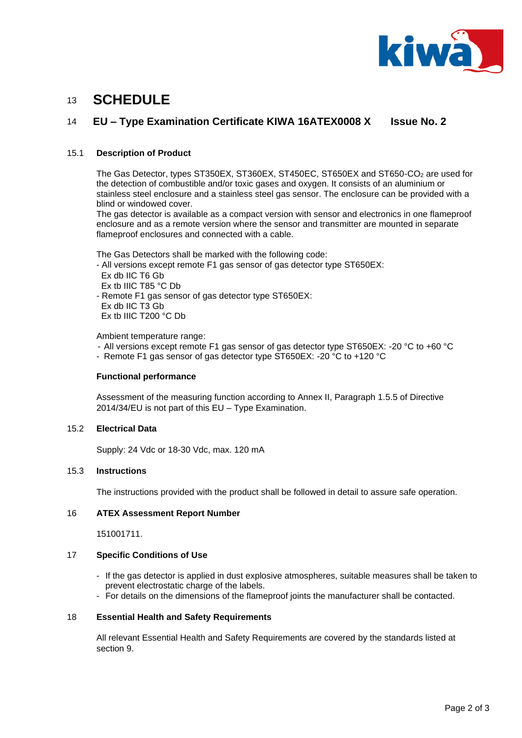

# <sup>13</sup> **SCHEDULE**

### 14 **EU – Type Examination Certificate KIWA 16ATEX0008 X Issue No. 2**

#### 15.1 **Description of Product**

The Gas Detector, types ST350EX, ST360EX, ST450EC, ST650EX and ST650-CO<sup>2</sup> are used for the detection of combustible and/or toxic gases and oxygen. It consists of an aluminium or stainless steel enclosure and a stainless steel gas sensor. The enclosure can be provided with a blind or windowed cover.

The gas detector is available as a compact version with sensor and electronics in one flameproof enclosure and as a remote version where the sensor and transmitter are mounted in separate flameproof enclosures and connected with a cable.

The Gas Detectors shall be marked with the following code:

- All versions except remote F1 gas sensor of gas detector type ST650EX:
- Ex db IIC T6 Gb
- Ex tb IIIC T85 °C Db
- Remote F1 gas sensor of gas detector type ST650EX:
- Ex db IIC T3 Gb
- Ex tb IIIC T200 °C Db

Ambient temperature range:

- All versions except remote F1 gas sensor of gas detector type ST650EX: -20 °C to +60 °C
- Remote F1 gas sensor of gas detector type ST650EX: -20 °C to +120 °C

#### **Functional performance**

Assessment of the measuring function according to Annex II, Paragraph 1.5.5 of Directive 2014/34/EU is not part of this EU – Type Examination.

#### 15.2 **Electrical Data**

Supply: 24 Vdc or 18-30 Vdc, max. 120 mA

#### 15.3 **Instructions**

The instructions provided with the product shall be followed in detail to assure safe operation.

#### 16 **ATEX Assessment Report Number**

151001711.

#### 17 **Specific Conditions of Use**

- If the gas detector is applied in dust explosive atmospheres, suitable measures shall be taken to prevent electrostatic charge of the labels.
- For details on the dimensions of the flameproof joints the manufacturer shall be contacted.

#### 18 **Essential Health and Safety Requirements**

All relevant Essential Health and Safety Requirements are covered by the standards listed at section 9.